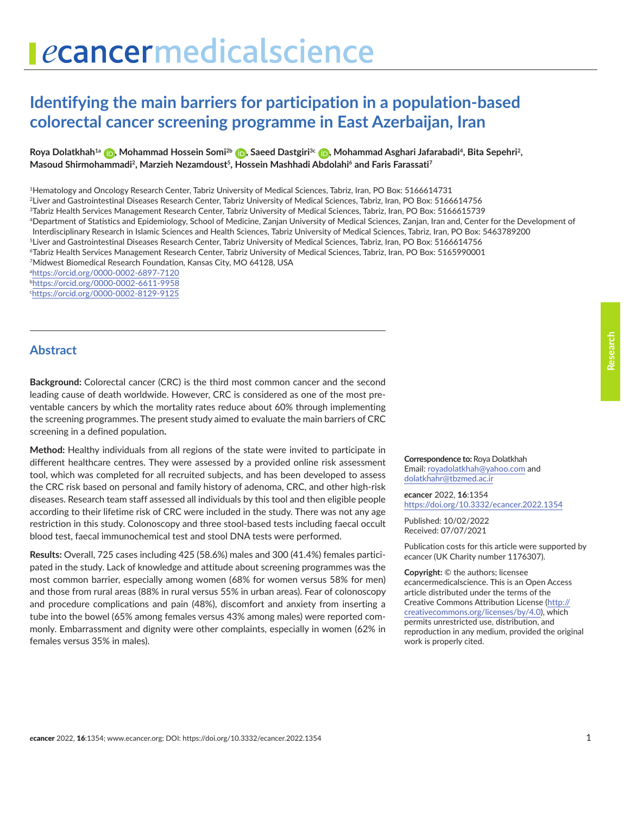# ecancermedicalscience

# **Identifying the main barriers for participation in a population-based colorectal cancer screening programme in East Azerbaijan, Iran**

**Roya Dolatkhah1a [,](https://orcid.org/0000-0002-6897-7120) Mohammad Hossein Somi2b [,](https://orcid.org/0000-0002-6611-9958) Saeed Dastgiri3c [,](https://orcid.org/0000-0002-8129-9125) Mohammad Asghari Jafarabadi4, Bita Sepehri2, Masoud Shirmohammadi2, Marzieh Nezamdoust5, Hossein Mashhadi Abdolahi6 and Faris Farassati7** 

1Hematology and Oncology Research Center, Tabriz University of Medical Sciences, Tabriz, Iran, PO Box: 5166614731

2Liver and Gastrointestinal Diseases Research Center, Tabriz University of Medical Sciences, Tabriz, Iran, PO Box: 5166614756

3Tabriz Health Services Management Research Center, Tabriz University of Medical Sciences, Tabriz, Iran, PO Box: 5166615739

4Department of Statistics and Epidemiology, School of Medicine, Zanjan University of Medical Sciences, Zanjan, Iran and, Center for the Development of

Interdisciplinary Research in Islamic Sciences and Health Sciences, Tabriz University of Medical Sciences, Tabriz, Iran, PO Box: 5463789200

5Liver and Gastrointestinal Diseases Research Center, Tabriz University of Medical Sciences, Tabriz, Iran, PO Box: 5166614756

6Tabriz Health Services Management Research Center, Tabriz University of Medical Sciences, Tabriz, Iran, PO Box: 5165990001

7Midwest Biomedical Research Foundation, Kansas City, MO 64128, USA

a <https://orcid.org/0000-0002-6897-7120>

b <https://orcid.org/0000-0002-6611-9958>

c <https://orcid.org/0000-0002-8129-9125>

#### **Abstract**

**Background:** Colorectal cancer (CRC) is the third most common cancer and the second leading cause of death worldwide. However, CRC is considered as one of the most preventable cancers by which the mortality rates reduce about 60% through implementing the screening programmes. The present study aimed to evaluate the main barriers of CRC screening in a defined population**.**

**Method:** Healthy individuals from all regions of the state were invited to participate in different healthcare centres. They were assessed by a provided online risk assessment tool, which was completed for all recruited subjects, and has been developed to assess the CRC risk based on personal and family history of adenoma, CRC, and other high-risk diseases. Research team staff assessed all individuals by this tool and then eligible people according to their lifetime risk of CRC were included in the study. There was not any age restriction in this study. Colonoscopy and three stool-based tests including faecal occult blood test, faecal immunochemical test and stool DNA tests were performed.

**Results:** Overall, 725 cases including 425 (58.6%) males and 300 (41.4%) females participated in the study. Lack of knowledge and attitude about screening programmes was the most common barrier, especially among women (68% for women versus 58% for men) and those from rural areas (88% in rural versus 55% in urban areas). Fear of colonoscopy and procedure complications and pain (48%), discomfort and anxiety from inserting a tube into the bowel (65% among females versus 43% among males) were reported commonly. Embarrassment and dignity were other complaints, especially in women (62% in females versus 35% in males).

**Correspondence to:** Roya Dolatkhah Email: [royadolatkhah@yahoo.com](mailto:royadolatkhah@yahoo.com) and [dolatkhahr@tbzmed.ac.ir](mailto:dolatkhahr@tbzmed.ac.ir)

*e***cancer** 2022, **16**:1354 [https://doi.org/10.3332/ecancer.2022.135](https://doi.org/10.3332/ecancer.2022.1354)4

Published: 10/02/2022 Received: 07/07/2021

Publication costs for this article were supported by *e*cancer (UK Charity number 1176307).

**Copyright:** © the authors; licensee *e*cancermedicalscience. This is an Open Access article distributed under the terms of the Creative Commons Attribution License (http:// creativecommons.org/licenses/by/4.0), which permits unrestricted use, distribution, and reproduction in any medium, provided the original work is properly cited.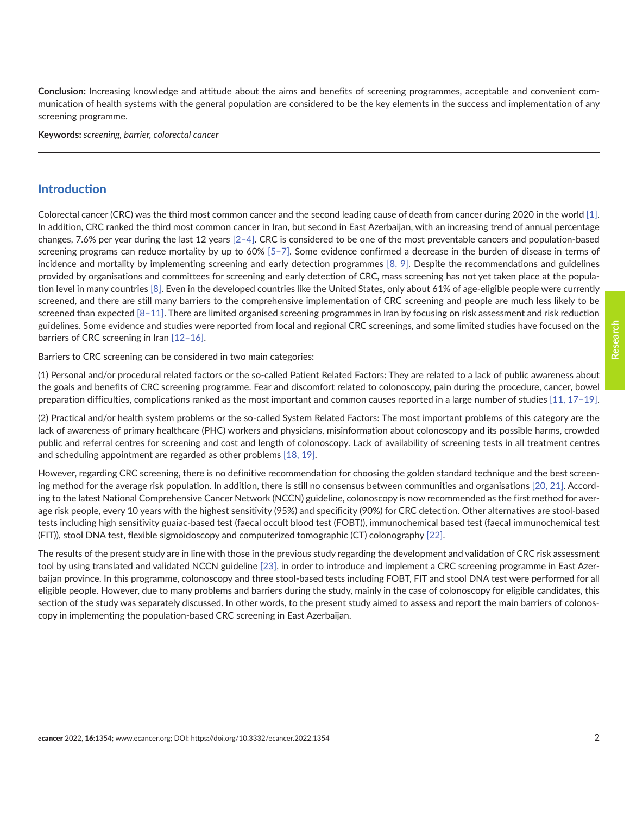**Conclusion:** Increasing knowledge and attitude about the aims and benefits of screening programmes, acceptable and convenient communication of health systems with the general population are considered to be the key elements in the success and implementation of any screening programme.

**Keywords:** *screening, barrier, colorectal cancer*

#### **Introduction**

Colorectal cancer (CRC) was the third most common cancer and the second leading cause of death from cancer during 2020 in the world [\[1\].](#page-10-0) In addition, CRC ranked the third most common cancer in Iran, but second in East Azerbaijan, with an increasing trend of annual percentage changes, 7.6% per year during the last 12 years [\[2–4\].](#page-10-0) CRC is considered to be one of the most preventable cancers and population-based screening programs can reduce mortality by up to 60% [\[5–7\].](#page-10-0) Some evidence confirmed a decrease in the burden of disease in terms of incidence and mortality by implementing screening and early detection programmes [\[8,](#page-10-0) [9\]](#page-10-0). Despite the recommendations and guidelines provided by organisations and committees for screening and early detection of CRC, mass screening has not yet taken place at the population level in many countries [\[8\].](#page-10-0) Even in the developed countries like the United States, only about 61% of age-eligible people were currently screened, and there are still many barriers to the comprehensive implementation of CRC screening and people are much less likely to be screened than expected  $[8-11]$ . There are limited organised screening programmes in Iran by focusing on risk assessment and risk reduction guidelines. Some evidence and studies were reported from local and regional CRC screenings, and some limited studies have focused on the barriers of CRC screening in Iran [\[12–16\]](#page-10-0).

Barriers to CRC screening can be considered in two main categories:

(1) Personal and/or procedural related factors or the so-called Patient Related Factors: They are related to a lack of public awareness about the goals and benefits of CRC screening programme. Fear and discomfort related to colonoscopy, pain during the procedure, cancer, bowel preparation difficulties, complications ranked as the most important and common causes reported in a large number of studies [\[11,](#page-10-0) [17–19\].](#page-11-0)

(2) Practical and/or health system problems or the so-called System Related Factors: The most important problems of this category are the lack of awareness of primary healthcare (PHC) workers and physicians, misinformation about colonoscopy and its possible harms, crowded public and referral centres for screening and cost and length of colonoscopy. Lack of availability of screening tests in all treatment centres and scheduling appointment are regarded as other problems [\[18, 19\]](#page-11-0).

However, regarding CRC screening, there is no definitive recommendation for choosing the golden standard technique and the best screening method for the average risk population. In addition, there is still no consensus between communities and organisations [\[20, 21\].](#page-11-0) According to the latest National Comprehensive Cancer Network (NCCN) guideline, colonoscopy is now recommended as the first method for average risk people, every 10 years with the highest sensitivity (95%) and specificity (90%) for CRC detection. Other alternatives are stool-based tests including high sensitivity guaiac-based test (faecal occult blood test (FOBT)), immunochemical based test (faecal immunochemical test (FIT)), stool DNA test, flexible sigmoidoscopy and computerized tomographic (CT) colonography [\[22\].](#page-11-0)

The results of the present study are in line with those in the previous study regarding the development and validation of CRC risk assessment tool by using translated and validated NCCN guideline [\[23\],](#page-11-0) in order to introduce and implement a CRC screening programme in East Azerbaijan province. In this programme, colonoscopy and three stool-based tests including FOBT, FIT and stool DNA test were performed for all eligible people. However, due to many problems and barriers during the study, mainly in the case of colonoscopy for eligible candidates, this section of the study was separately discussed. In other words, to the present study aimed to assess and report the main barriers of colonoscopy in implementing the population-based CRC screening in East Azerbaijan.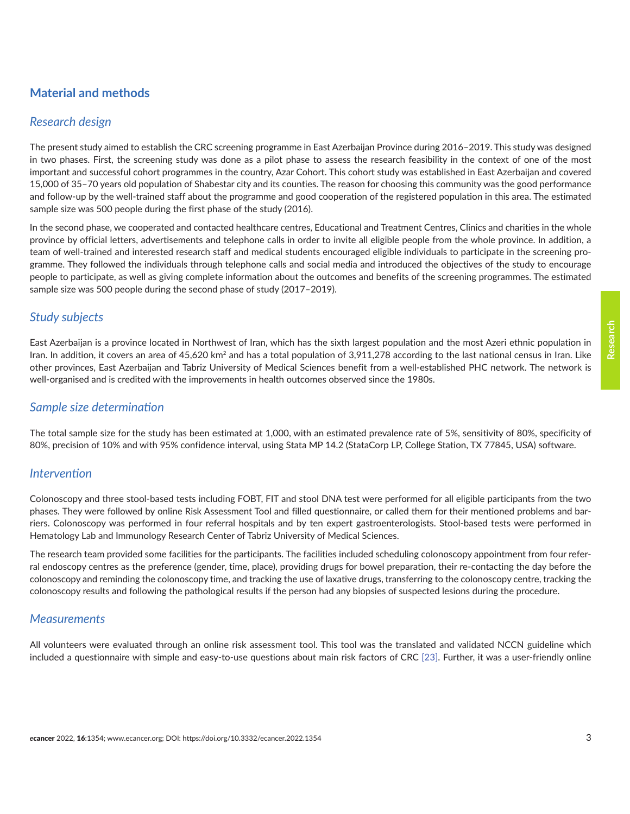# **Material and methods**

#### *Research design*

The present study aimed to establish the CRC screening programme in East Azerbaijan Province during 2016–2019. This study was designed in two phases. First, the screening study was done as a pilot phase to assess the research feasibility in the context of one of the most important and successful cohort programmes in the country, Azar Cohort. This cohort study was established in East Azerbaijan and covered 15,000 of 35–70 years old population of Shabestar city and its counties. The reason for choosing this community was the good performance and follow-up by the well-trained staff about the programme and good cooperation of the registered population in this area. The estimated sample size was 500 people during the first phase of the study (2016).

In the second phase, we cooperated and contacted healthcare centres, Educational and Treatment Centres, Clinics and charities in the whole province by official letters, advertisements and telephone calls in order to invite all eligible people from the whole province. In addition, a team of well-trained and interested research staff and medical students encouraged eligible individuals to participate in the screening programme. They followed the individuals through telephone calls and social media and introduced the objectives of the study to encourage people to participate, as well as giving complete information about the outcomes and benefits of the screening programmes. The estimated sample size was 500 people during the second phase of study (2017–2019).

#### *Study subjects*

East Azerbaijan is a province located in Northwest of Iran, which has the sixth largest population and the most Azeri ethnic population in Iran. In addition, it covers an area of 45,620 km<sup>2</sup> and has a total population of 3,911,278 according to the last national census in Iran. Like other provinces, East Azerbaijan and Tabriz University of Medical Sciences benefit from a well-established PHC network. The network is well-organised and is credited with the improvements in health outcomes observed since the 1980s.

#### *Sample size determination*

The total sample size for the study has been estimated at 1,000, with an estimated prevalence rate of 5%, sensitivity of 80%, specificity of 80%, precision of 10% and with 95% confidence interval, using Stata MP 14.2 (StataCorp LP, College Station, TX 77845, USA) software.

#### *Intervention*

Colonoscopy and three stool-based tests including FOBT, FIT and stool DNA test were performed for all eligible participants from the two phases. They were followed by online Risk Assessment Tool and filled questionnaire, or called them for their mentioned problems and barriers. Colonoscopy was performed in four referral hospitals and by ten expert gastroenterologists. Stool-based tests were performed in Hematology Lab and Immunology Research Center of Tabriz University of Medical Sciences.

The research team provided some facilities for the participants. The facilities included scheduling colonoscopy appointment from four referral endoscopy centres as the preference (gender, time, place), providing drugs for bowel preparation, their re-contacting the day before the colonoscopy and reminding the colonoscopy time, and tracking the use of laxative drugs, transferring to the colonoscopy centre, tracking the colonoscopy results and following the pathological results if the person had any biopsies of suspected lesions during the procedure.

#### *Measurements*

All volunteers were evaluated through an online risk assessment tool. This tool was the translated and validated NCCN guideline which included a questionnaire with simple and easy-to-use questions about main risk factors of CRC [\[23\].](#page-11-0) Further, it was a user-friendly online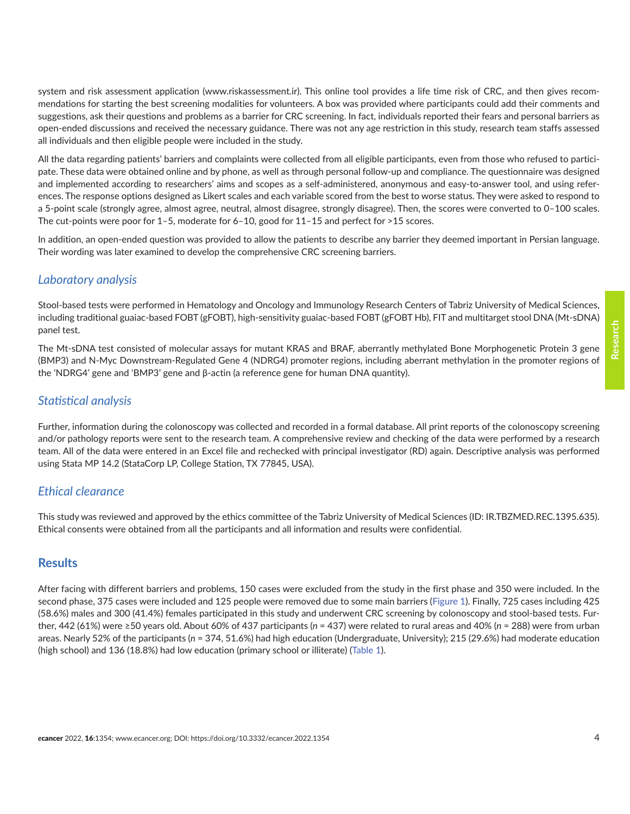system and risk assessment application (www.riskassessment.ir). This online tool provides a life time risk of CRC, and then gives recommendations for starting the best screening modalities for volunteers. A box was provided where participants could add their comments and suggestions, ask their questions and problems as a barrier for CRC screening. In fact, individuals reported their fears and personal barriers as open-ended discussions and received the necessary guidance. There was not any age restriction in this study, research team staffs assessed all individuals and then eligible people were included in the study.

All the data regarding patients' barriers and complaints were collected from all eligible participants, even from those who refused to participate. These data were obtained online and by phone, as well as through personal follow-up and compliance. The questionnaire was designed and implemented according to researchers' aims and scopes as a self-administered, anonymous and easy-to-answer tool, and using references. The response options designed as Likert scales and each variable scored from the best to worse status. They were asked to respond to a 5-point scale (strongly agree, almost agree, neutral, almost disagree, strongly disagree). Then, the scores were converted to 0–100 scales. The cut-points were poor for 1–5, moderate for 6–10, good for 11–15 and perfect for >15 scores.

In addition, an open-ended question was provided to allow the patients to describe any barrier they deemed important in Persian language. Their wording was later examined to develop the comprehensive CRC screening barriers.

### *Laboratory analysis*

Stool-based tests were performed in Hematology and Oncology and Immunology Research Centers of Tabriz University of Medical Sciences, including traditional guaiac-based FOBT (gFOBT), high-sensitivity guaiac-based FOBT (gFOBT Hb), FIT and multitarget stool DNA (Mt-sDNA) panel test.

The Mt-sDNA test consisted of molecular assays for mutant KRAS and BRAF, aberrantly methylated Bone Morphogenetic Protein 3 gene (BMP3) and N-Myc Downstream-Regulated Gene 4 (NDRG4) promoter regions, including aberrant methylation in the promoter regions of the 'NDRG4' gene and 'BMP3' gene and β-actin (a reference gene for human DNA quantity).

#### *Statistical analysis*

Further, information during the colonoscopy was collected and recorded in a formal database. All print reports of the colonoscopy screening and/or pathology reports were sent to the research team. A comprehensive review and checking of the data were performed by a research team. All of the data were entered in an Excel file and rechecked with principal investigator (RD) again. Descriptive analysis was performed using Stata MP 14.2 (StataCorp LP, College Station, TX 77845, USA).

#### *Ethical clearance*

This study was reviewed and approved by the ethics committee of the Tabriz University of Medical Sciences (ID: IR.TBZMED.REC.1395.635). Ethical consents were obtained from all the participants and all information and results were confidential.

#### **Results**

After facing with different barriers and problems, 150 cases were excluded from the study in the first phase and 350 were included. In the second phase, 375 cases were included and 125 people were removed due to some main barriers [\(Figure 1\)](#page-4-0). Finally, 725 cases including 425 (58.6%) males and 300 (41.4%) females participated in this study and underwent CRC screening by colonoscopy and stool-based tests. Further, 442 (61%) were ≥50 years old. About 60% of 437 participants (*n* = 437) were related to rural areas and 40% (*n* = 288) were from urban areas. Nearly 52% of the participants (*n* = 374, 51.6%) had high education (Undergraduate, University); 215 (29.6%) had moderate education (high school) and 136 (18.8%) had low education (primary school or illiterate) [\(Table 1\)](#page-4-0).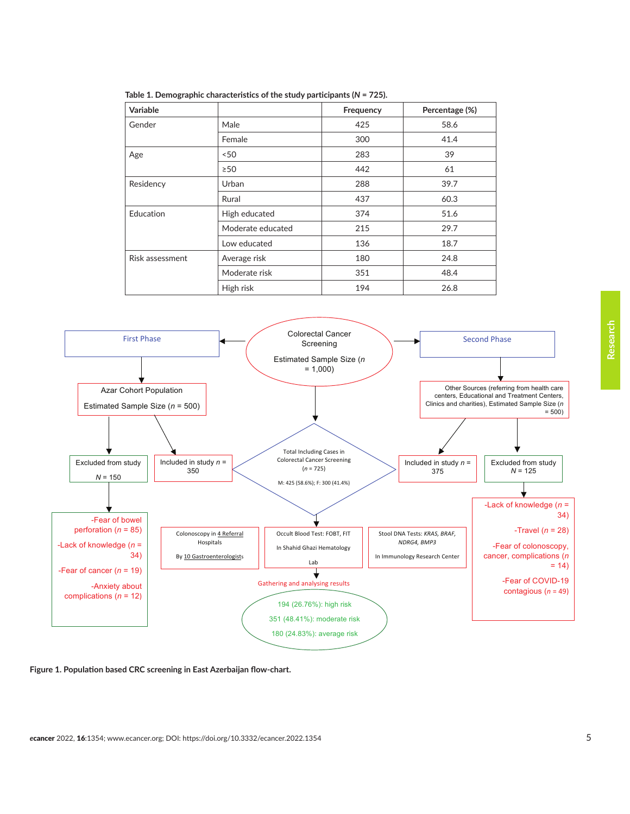<span id="page-4-0"></span>

| Variable        |                   | Frequency | Percentage (%) |
|-----------------|-------------------|-----------|----------------|
| Gender          | Male              | 425       | 58.6           |
|                 | Female            | 300       | 41.4           |
| Age             | < 50              | 283       | 39             |
|                 | $\geq$ 50         | 442       | 61             |
| Residency       | Urban             | 288       | 39.7           |
|                 | Rural             | 437       | 60.3           |
| Education       | High educated     | 374       | 51.6           |
|                 | Moderate educated | 215       | 29.7           |
|                 | Low educated      | 136       | 18.7           |
| Risk assessment | Average risk      | 180       | 24.8           |
|                 | Moderate risk     | 351       | 48.4           |
|                 | High risk         | 194       | 26.8           |

**Table 1. Demographic characteristics of the study participants (***N* **= 725).**



**Figure 1. Population based CRC screening in East Azerbaijan flow-chart.**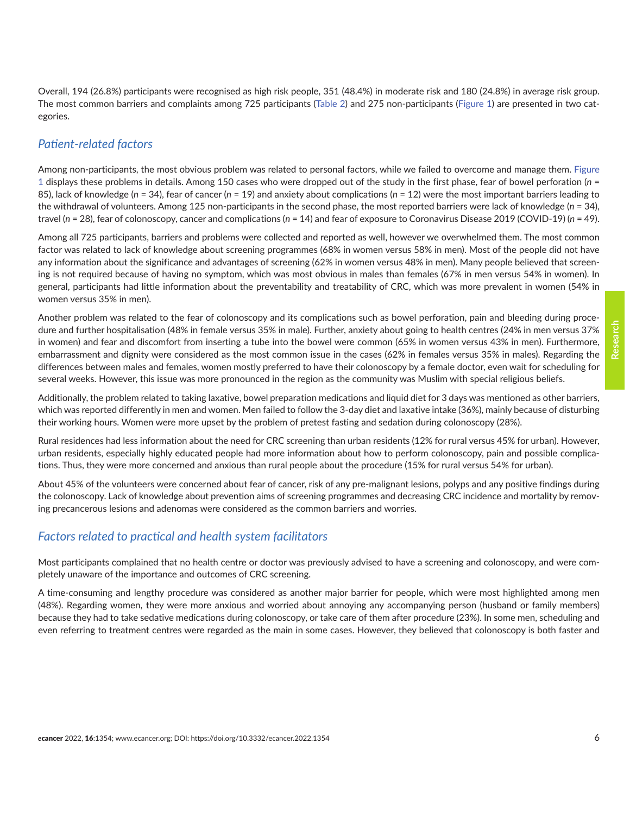Overall, 194 (26.8%) participants were recognised as high risk people, 351 (48.4%) in moderate risk and 180 (24.8%) in average risk group. The most common barriers and complaints among 725 participants [\(Table 2\)](#page-6-0) and 275 non-participants ([Figure 1](#page-4-0)) are presented in two categories.

# *Patient-related factors*

Among non-participants, the most obvious problem was related to personal factors, while we failed to overcome and manage them. [Figure](#page-4-0) [1](#page-4-0) displays these problems in details. Among 150 cases who were dropped out of the study in the first phase, fear of bowel perforation (*n* = 85), lack of knowledge (*n* = 34), fear of cancer (*n* = 19) and anxiety about complications (*n* = 12) were the most important barriers leading to the withdrawal of volunteers. Among 125 non-participants in the second phase, the most reported barriers were lack of knowledge (*n* = 34), travel (*n* = 28), fear of colonoscopy, cancer and complications (*n* = 14) and fear of exposure to Coronavirus Disease 2019 (COVID-19) (*n* = 49).

Among all 725 participants, barriers and problems were collected and reported as well, however we overwhelmed them. The most common factor was related to lack of knowledge about screening programmes (68% in women versus 58% in men). Most of the people did not have any information about the significance and advantages of screening (62% in women versus 48% in men). Many people believed that screening is not required because of having no symptom, which was most obvious in males than females (67% in men versus 54% in women). In general, participants had little information about the preventability and treatability of CRC, which was more prevalent in women (54% in women versus 35% in men).

Another problem was related to the fear of colonoscopy and its complications such as bowel perforation, pain and bleeding during procedure and further hospitalisation (48% in female versus 35% in male). Further, anxiety about going to health centres (24% in men versus 37% in women) and fear and discomfort from inserting a tube into the bowel were common (65% in women versus 43% in men). Furthermore, embarrassment and dignity were considered as the most common issue in the cases (62% in females versus 35% in males). Regarding the differences between males and females, women mostly preferred to have their colonoscopy by a female doctor, even wait for scheduling for several weeks. However, this issue was more pronounced in the region as the community was Muslim with special religious beliefs.

Additionally, the problem related to taking laxative, bowel preparation medications and liquid diet for 3 days was mentioned as other barriers, which was reported differently in men and women. Men failed to follow the 3-day diet and laxative intake (36%), mainly because of disturbing their working hours. Women were more upset by the problem of pretest fasting and sedation during colonoscopy (28%).

Rural residences had less information about the need for CRC screening than urban residents (12% for rural versus 45% for urban). However, urban residents, especially highly educated people had more information about how to perform colonoscopy, pain and possible complications. Thus, they were more concerned and anxious than rural people about the procedure (15% for rural versus 54% for urban).

About 45% of the volunteers were concerned about fear of cancer, risk of any pre-malignant lesions, polyps and any positive findings during the colonoscopy. Lack of knowledge about prevention aims of screening programmes and decreasing CRC incidence and mortality by removing precancerous lesions and adenomas were considered as the common barriers and worries.

# *Factors related to practical and health system facilitators*

Most participants complained that no health centre or doctor was previously advised to have a screening and colonoscopy, and were completely unaware of the importance and outcomes of CRC screening.

A time-consuming and lengthy procedure was considered as another major barrier for people, which were most highlighted among men (48%). Regarding women, they were more anxious and worried about annoying any accompanying person (husband or family members) because they had to take sedative medications during colonoscopy, or take care of them after procedure (23%). In some men, scheduling and even referring to treatment centres were regarded as the main in some cases. However, they believed that colonoscopy is both faster and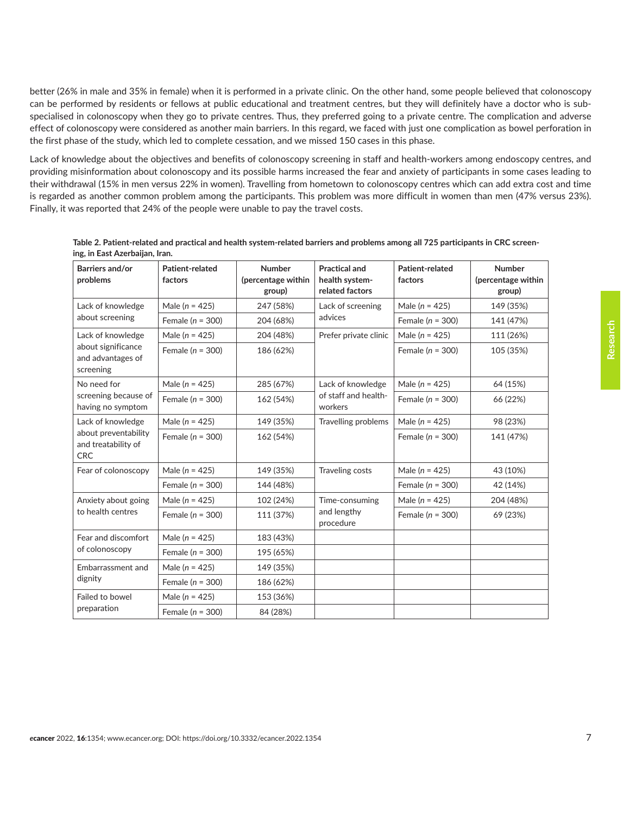<span id="page-6-0"></span>better (26% in male and 35% in female) when it is performed in a private clinic. On the other hand, some people believed that colonoscopy can be performed by residents or fellows at public educational and treatment centres, but they will definitely have a doctor who is subspecialised in colonoscopy when they go to private centres. Thus, they preferred going to a private centre. The complication and adverse effect of colonoscopy were considered as another main barriers. In this regard, we faced with just one complication as bowel perforation in the first phase of the study, which led to complete cessation, and we missed 150 cases in this phase.

Lack of knowledge about the objectives and benefits of colonoscopy screening in staff and health-workers among endoscopy centres, and providing misinformation about colonoscopy and its possible harms increased the fear and anxiety of participants in some cases leading to their withdrawal (15% in men versus 22% in women). Travelling from hometown to colonoscopy centres which can add extra cost and time is regarded as another common problem among the participants. This problem was more difficult in women than men (47% versus 23%). Finally, it was reported that 24% of the people were unable to pay the travel costs.

| Barriers and/or<br>problems                                                    | Patient-related<br>factors | <b>Number</b><br>(percentage within<br>group) | <b>Practical and</b><br>health system-<br>related factors | Patient-related<br>factors | <b>Number</b><br>(percentage within<br>group) |
|--------------------------------------------------------------------------------|----------------------------|-----------------------------------------------|-----------------------------------------------------------|----------------------------|-----------------------------------------------|
| Lack of knowledge<br>about screening                                           | Male $(n = 425)$           | 247 (58%)                                     | Lack of screening<br>advices                              | Male ( $n = 425$ )         | 149 (35%)                                     |
|                                                                                | Female ( $n = 300$ )       | 204 (68%)                                     |                                                           | Female ( $n = 300$ )       | 141 (47%)                                     |
| Lack of knowledge<br>about significance<br>and advantages of<br>screening      | Male $(n = 425)$           | 204 (48%)                                     | Prefer private clinic                                     | Male ( $n = 425$ )         | 111 (26%)                                     |
|                                                                                | Female ( $n = 300$ )       | 186 (62%)                                     |                                                           | Female ( $n = 300$ )       | 105 (35%)                                     |
| No need for<br>screening because of<br>having no symptom                       | Male $(n = 425)$           | 285 (67%)                                     | Lack of knowledge<br>of staff and health-<br>workers      | Male $(n = 425)$           | 64 (15%)                                      |
|                                                                                | Female $(n = 300)$         | 162 (54%)                                     |                                                           | Female $(n = 300)$         | 66 (22%)                                      |
| Lack of knowledge<br>about preventability<br>and treatability of<br><b>CRC</b> | Male $(n = 425)$           | 149 (35%)                                     | Travelling problems                                       | Male $(n = 425)$           | 98 (23%)                                      |
|                                                                                | Female $(n = 300)$         | 162 (54%)                                     |                                                           | Female ( $n = 300$ )       | 141 (47%)                                     |
| Fear of colonoscopy                                                            | Male ( $n = 425$ )         | 149 (35%)                                     | Traveling costs                                           | Male ( $n = 425$ )         | 43 (10%)                                      |
|                                                                                | Female ( $n = 300$ )       | 144 (48%)                                     |                                                           | Female ( $n = 300$ )       | 42 (14%)                                      |
| Anxiety about going<br>to health centres                                       | Male $(n = 425)$           | 102 (24%)                                     | Time-consuming<br>and lengthy<br>procedure                | Male ( $n = 425$ )         | 204 (48%)                                     |
|                                                                                | Female ( $n = 300$ )       | 111 (37%)                                     |                                                           | Female ( $n = 300$ )       | 69 (23%)                                      |
| Fear and discomfort<br>of colonoscopy                                          | Male $(n = 425)$           | 183 (43%)                                     |                                                           |                            |                                               |
|                                                                                | Female ( $n = 300$ )       | 195 (65%)                                     |                                                           |                            |                                               |
| Embarrassment and<br>dignity                                                   | Male ( $n = 425$ )         | 149 (35%)                                     |                                                           |                            |                                               |
|                                                                                | Female ( $n = 300$ )       | 186 (62%)                                     |                                                           |                            |                                               |
| Failed to bowel<br>preparation                                                 | Male ( $n = 425$ )         | 153 (36%)                                     |                                                           |                            |                                               |
|                                                                                | Female ( $n = 300$ )       | 84 (28%)                                      |                                                           |                            |                                               |

| Table 2. Patient-related and practical and health system-related barriers and problems among all 725 participants in CRC screen- |  |
|----------------------------------------------------------------------------------------------------------------------------------|--|
| ing, in East Azerbaijan, Iran.                                                                                                   |  |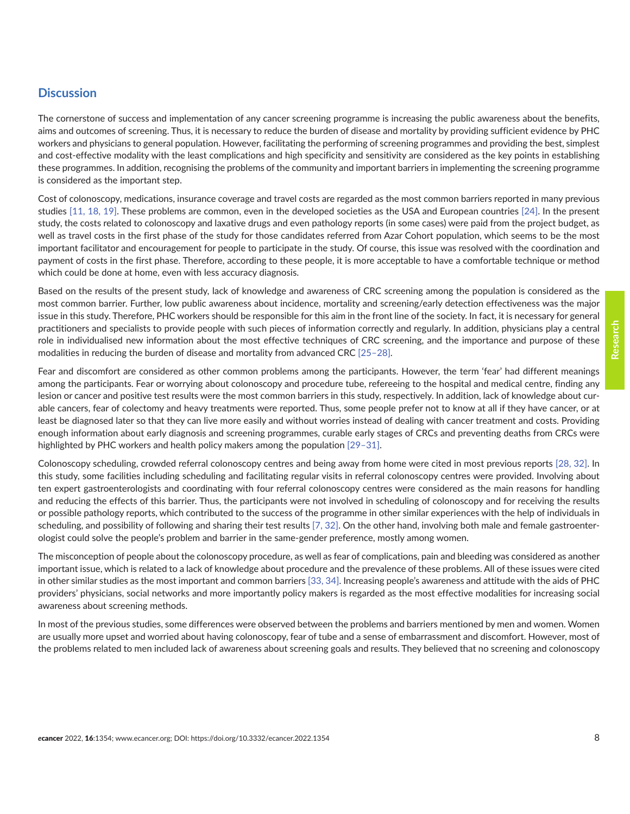#### **Discussion**

The cornerstone of success and implementation of any cancer screening programme is increasing the public awareness about the benefits, aims and outcomes of screening. Thus, it is necessary to reduce the burden of disease and mortality by providing sufficient evidence by PHC workers and physicians to general population. However, facilitating the performing of screening programmes and providing the best, simplest and cost-effective modality with the least complications and high specificity and sensitivity are considered as the key points in establishing these programmes. In addition, recognising the problems of the community and important barriers in implementing the screening programme is considered as the important step.

Cost of colonoscopy, medications, insurance coverage and travel costs are regarded as the most common barriers reported in many previous studies [\[11,](#page-10-0) [18, 19\].](#page-11-0) These problems are common, even in the developed societies as the USA and European countries [\[24\].](#page-11-0) In the present study, the costs related to colonoscopy and laxative drugs and even pathology reports (in some cases) were paid from the project budget, as well as travel costs in the first phase of the study for those candidates referred from Azar Cohort population, which seems to be the most important facilitator and encouragement for people to participate in the study. Of course, this issue was resolved with the coordination and payment of costs in the first phase. Therefore, according to these people, it is more acceptable to have a comfortable technique or method which could be done at home, even with less accuracy diagnosis.

Based on the results of the present study, lack of knowledge and awareness of CRC screening among the population is considered as the most common barrier. Further, low public awareness about incidence, mortality and screening/early detection effectiveness was the major issue in this study. Therefore, PHC workers should be responsible for this aim in the front line of the society. In fact, it is necessary for general practitioners and specialists to provide people with such pieces of information correctly and regularly. In addition, physicians play a central role in individualised new information about the most effective techniques of CRC screening, and the importance and purpose of these modalities in reducing the burden of disease and mortality from advanced CRC [\[25–28\].](#page-11-0)

Fear and discomfort are considered as other common problems among the participants. However, the term 'fear' had different meanings among the participants. Fear or worrying about colonoscopy and procedure tube, refereeing to the hospital and medical centre, finding any lesion or cancer and positive test results were the most common barriers in this study, respectively. In addition, lack of knowledge about curable cancers, fear of colectomy and heavy treatments were reported. Thus, some people prefer not to know at all if they have cancer, or at least be diagnosed later so that they can live more easily and without worries instead of dealing with cancer treatment and costs. Providing enough information about early diagnosis and screening programmes, curable early stages of CRCs and preventing deaths from CRCs were highlighted by PHC workers and health policy makers among the population [29-31].

Colonoscopy scheduling, crowded referral colonoscopy centres and being away from home were cited in most previous reports [\[28,](#page-11-0) [32\].](#page-11-0) In this study, some facilities including scheduling and facilitating regular visits in referral colonoscopy centres were provided. Involving about ten expert gastroenterologists and coordinating with four referral colonoscopy centres were considered as the main reasons for handling and reducing the effects of this barrier. Thus, the participants were not involved in scheduling of colonoscopy and for receiving the results or possible pathology reports, which contributed to the success of the programme in other similar experiences with the help of individuals in scheduling, and possibility of following and sharing their test results [\[7,](#page-10-0) [32\].](#page-11-0) On the other hand, involving both male and female gastroenterologist could solve the people's problem and barrier in the same-gender preference, mostly among women.

The misconception of people about the colonoscopy procedure, as well as fear of complications, pain and bleeding was considered as another important issue, which is related to a lack of knowledge about procedure and the prevalence of these problems. All of these issues were cited in other similar studies as the most important and common barriers [\[33,](#page-11-0) [34\].](#page-12-0) Increasing people's awareness and attitude with the aids of PHC providers' physicians, social networks and more importantly policy makers is regarded as the most effective modalities for increasing social awareness about screening methods.

In most of the previous studies, some differences were observed between the problems and barriers mentioned by men and women. Women are usually more upset and worried about having colonoscopy, fear of tube and a sense of embarrassment and discomfort. However, most of the problems related to men included lack of awareness about screening goals and results. They believed that no screening and colonoscopy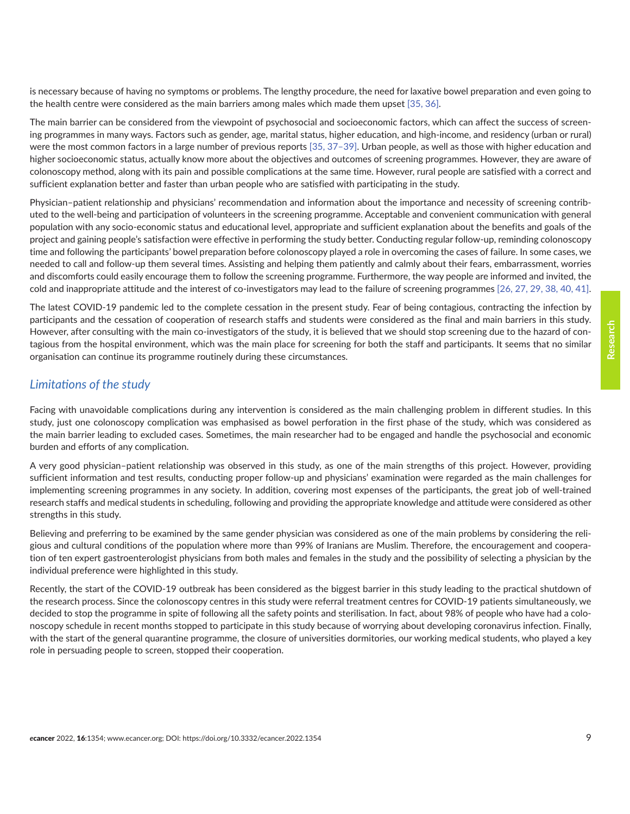is necessary because of having no symptoms or problems. The lengthy procedure, the need for laxative bowel preparation and even going to the health centre were considered as the main barriers among males which made them upset [\[35, 36\].](#page-12-0)

The main barrier can be considered from the viewpoint of psychosocial and socioeconomic factors, which can affect the success of screening programmes in many ways. Factors such as gender, age, marital status, higher education, and high-income, and residency (urban or rural) were the most common factors in a large number of previous reports [\[35, 37–39\]](#page-12-0). Urban people, as well as those with higher education and higher socioeconomic status, actually know more about the objectives and outcomes of screening programmes. However, they are aware of colonoscopy method, along with its pain and possible complications at the same time. However, rural people are satisfied with a correct and sufficient explanation better and faster than urban people who are satisfied with participating in the study.

Physician–patient relationship and physicians' recommendation and information about the importance and necessity of screening contributed to the well-being and participation of volunteers in the screening programme. Acceptable and convenient communication with general population with any socio-economic status and educational level, appropriate and sufficient explanation about the benefits and goals of the project and gaining people's satisfaction were effective in performing the study better. Conducting regular follow-up, reminding colonoscopy time and following the participants' bowel preparation before colonoscopy played a role in overcoming the cases of failure. In some cases, we needed to call and follow-up them several times. Assisting and helping them patiently and calmly about their fears, embarrassment, worries and discomforts could easily encourage them to follow the screening programme. Furthermore, the way people are informed and invited, the cold and inappropriate attitude and the interest of co-investigators may lead to the failure of screening programmes [\[26, 27, 29,](#page-11-0) [38, 40,](#page-12-0) [41\].](#page-12-0)

The latest COVID-19 pandemic led to the complete cessation in the present study. Fear of being contagious, contracting the infection by participants and the cessation of cooperation of research staffs and students were considered as the final and main barriers in this study. However, after consulting with the main co-investigators of the study, it is believed that we should stop screening due to the hazard of contagious from the hospital environment, which was the main place for screening for both the staff and participants. It seems that no similar organisation can continue its programme routinely during these circumstances.

#### *Limitations of the study*

Facing with unavoidable complications during any intervention is considered as the main challenging problem in different studies. In this study, just one colonoscopy complication was emphasised as bowel perforation in the first phase of the study, which was considered as the main barrier leading to excluded cases. Sometimes, the main researcher had to be engaged and handle the psychosocial and economic burden and efforts of any complication.

A very good physician–patient relationship was observed in this study, as one of the main strengths of this project. However, providing sufficient information and test results, conducting proper follow-up and physicians' examination were regarded as the main challenges for implementing screening programmes in any society. In addition, covering most expenses of the participants, the great job of well-trained research staffs and medical students in scheduling, following and providing the appropriate knowledge and attitude were considered as other strengths in this study.

Believing and preferring to be examined by the same gender physician was considered as one of the main problems by considering the religious and cultural conditions of the population where more than 99% of Iranians are Muslim. Therefore, the encouragement and cooperation of ten expert gastroenterologist physicians from both males and females in the study and the possibility of selecting a physician by the individual preference were highlighted in this study.

Recently, the start of the COVID-19 outbreak has been considered as the biggest barrier in this study leading to the practical shutdown of the research process. Since the colonoscopy centres in this study were referral treatment centres for COVID-19 patients simultaneously, we decided to stop the programme in spite of following all the safety points and sterilisation. In fact, about 98% of people who have had a colonoscopy schedule in recent months stopped to participate in this study because of worrying about developing coronavirus infection. Finally, with the start of the general quarantine programme, the closure of universities dormitories, our working medical students, who played a key role in persuading people to screen, stopped their cooperation.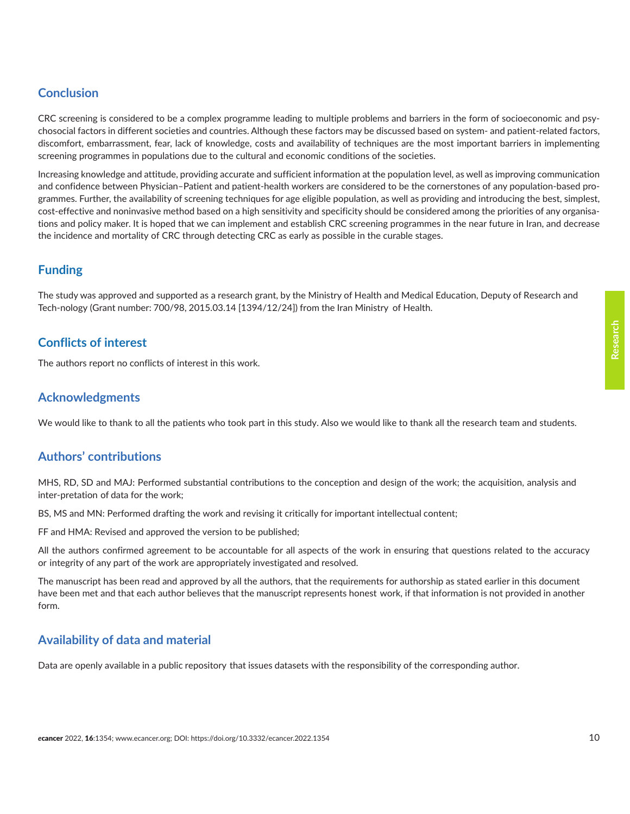# **Conclusion**

CRC screening is considered to be a complex programme leading to multiple problems and barriers in the form of socioeconomic and psychosocial factors in different societies and countries. Although these factors may be discussed based on system- and patient-related factors, discomfort, embarrassment, fear, lack of knowledge, costs and availability of techniques are the most important barriers in implementing screening programmes in populations due to the cultural and economic conditions of the societies.

Increasing knowledge and attitude, providing accurate and sufficient information at the population level, as well as improving communication and confidence between Physician–Patient and patient-health workers are considered to be the cornerstones of any population-based programmes. Further, the availability of screening techniques for age eligible population, as well as providing and introducing the best, simplest, cost-effective and noninvasive method based on a high sensitivity and specificity should be considered among the priorities of any organisations and policy maker. It is hoped that we can implement and establish CRC screening programmes in the near future in Iran, and decrease the incidence and mortality of CRC through detecting CRC as early as possible in the curable stages.

# **Funding**

The study was approved and supported as a research grant, by the Ministry of Health and Medical Education, Deputy of Research and Tech-nology (Grant number: 700/98, 2015.03.14 [1394/12/24]) from the Iran Ministry of Health.

# **Conflicts of interest**

The authors report no conflicts of interest in this work.

# **Acknowledgments**

We would like to thank to all the patients who took part in this study. Also we would like to thank all the research team and students.

# **Authors' contributions**

MHS, RD, SD and MAJ: Performed substantial contributions to the conception and design of the work; the acquisition, analysis and inter-pretation of data for the work;

BS, MS and MN: Performed drafting the work and revising it critically for important intellectual content;

FF and HMA: Revised and approved the version to be published;

All the authors confirmed agreement to be accountable for all aspects of the work in ensuring that questions related to the accuracy or integrity of any part of the work are appropriately investigated and resolved.

The manuscript has been read and approved by all the authors, that the requirements for authorship as stated earlier in this document have been met and that each author believes that the manuscript represents honest work, if that information is not provided in another form.

# **Availability of data and material**

Data are openly available in a public repository that issues datasets with the responsibility of the corresponding author.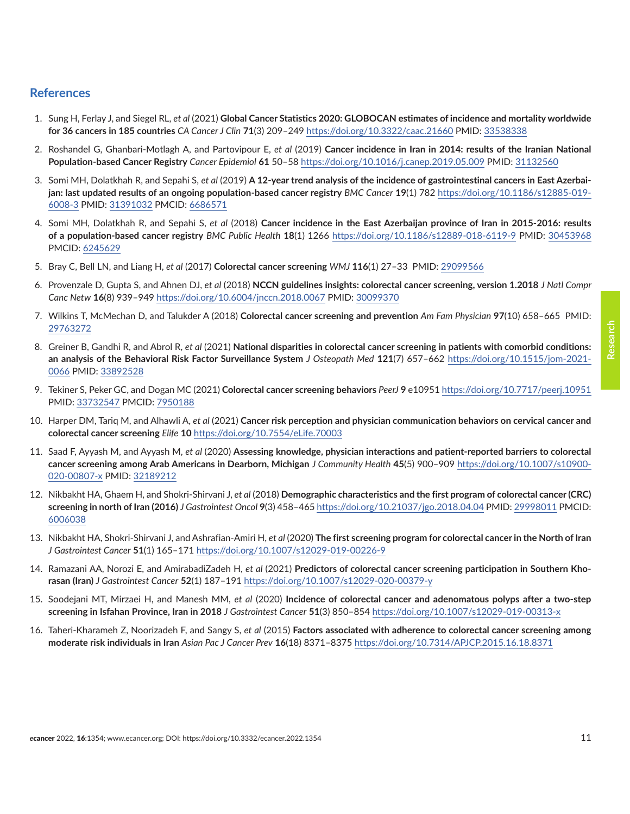#### <span id="page-10-0"></span>**References**

- 1. Sung H, Ferlay J, and Siegel RL, *et al* (2021) **Global Cancer Statistics 2020: GLOBOCAN estimates of incidence and mortality worldwide for 36 cancers in 185 countries** *CA Cancer J Clin* **71**(3) 209–249<https://doi.org/10.3322/caac.21660>PMID: [33538338](http://www.ncbi.nlm.nih.gov/pubmed/33538338)
- 2. Roshandel G, Ghanbari-Motlagh A, and Partovipour E, *et al* (2019) **Cancer incidence in Iran in 2014: results of the Iranian National Population-based Cancer Registry** *Cancer Epidemiol* **61** 50–58 <https://doi.org/10.1016/j.canep.2019.05.009> PMID: [31132560](http://www.ncbi.nlm.nih.gov/pubmed/31132560)
- 3. Somi MH, Dolatkhah R, and Sepahi S, *et al* (2019) **A 12-year trend analysis of the incidence of gastrointestinal cancers in East Azerbaijan: last updated results of an ongoing population-based cancer registry** *BMC Cancer* **19**(1) 782 [https://doi.org/10.1186/s12885-019-](https://doi.org/10.1186/s12885-019-6008-3) [6008-3](https://doi.org/10.1186/s12885-019-6008-3) PMID: [31391032](http://www.ncbi.nlm.nih.gov/pubmed/31391032) PMCID: [6686571](http://www.ncbi.nlm.nih.gov/pmc/articles/PMC6686571)
- 4. Somi MH, Dolatkhah R, and Sepahi S, *et al* (2018) **Cancer incidence in the East Azerbaijan province of Iran in 2015-2016: results of a population-based cancer registry** *BMC Public Health* **18**(1) 1266 <https://doi.org/10.1186/s12889-018-6119-9>PMID: [30453968](http://www.ncbi.nlm.nih.gov/pubmed/30453968) PMCID: [6245629](http://www.ncbi.nlm.nih.gov/pmc/articles/PMC6245629)
- 5. Bray C, Bell LN, and Liang H, *et al* (2017) **Colorectal cancer screening** *WMJ* **116**(1) 27–33 PMID: [29099566](http://www.ncbi.nlm.nih.gov/pubmed/29099566)
- 6. Provenzale D, Gupta S, and Ahnen DJ, *et al* (2018) **NCCN guidelines insights: colorectal cancer screening, version 1.2018** *J Natl Compr Canc Netw* **16**(8) 939–949<https://doi.org/10.6004/jnccn.2018.0067> PMID: [30099370](http://www.ncbi.nlm.nih.gov/pubmed/30099370)
- 7. Wilkins T, McMechan D, and Talukder A (2018) **Colorectal cancer screening and prevention** *Am Fam Physician* **97**(10) 658–665 PMID: [29763272](http://www.ncbi.nlm.nih.gov/pubmed/29763272)
- 8. Greiner B, Gandhi R, and Abrol R, *et al* (2021) **National disparities in colorectal cancer screening in patients with comorbid conditions: an analysis of the Behavioral Risk Factor Surveillance System** *J Osteopath Med* **121**(7) 657–662 [https://doi.org/10.1515/jom-2021-](https://doi.org/10.1515/jom-2021-0066) [0066](https://doi.org/10.1515/jom-2021-0066) PMID: [33892528](http://www.ncbi.nlm.nih.gov/pubmed/33892528)
- 9. Tekiner S, Peker GC, and Dogan MC (2021) **Colorectal cancer screening behaviors** *PeerJ* **9** e10951 <https://doi.org/10.7717/peerj.10951> PMID: [33732547](http://www.ncbi.nlm.nih.gov/pubmed/33732547) PMCID: [7950188](http://www.ncbi.nlm.nih.gov/pmc/articles/PMC7950188)
- 10. Harper DM, Tariq M, and Alhawli A, *et al* (2021) **Cancer risk perception and physician communication behaviors on cervical cancer and colorectal cancer screening** *Elife* **10** <https://doi.org/10.7554/eLife.70003>
- 11. Saad F, Ayyash M, and Ayyash M, *et al* (2020) **Assessing knowledge, physician interactions and patient-reported barriers to colorectal cancer screening among Arab Americans in Dearborn, Michigan** *J Community Health* **45**(5) 900–909 [https://doi.org/10.1007/s10900-](https://doi.org/10.1007/s10900-020-00807-x) [020-00807-x](https://doi.org/10.1007/s10900-020-00807-x) PMID: [32189212](http://www.ncbi.nlm.nih.gov/pubmed/32189212)
- 12. Nikbakht HA, Ghaem H, and Shokri-Shirvani J, *et al* (2018) **Demographic characteristics and the first program of colorectal cancer (CRC) screening in north of Iran (2016)** *J Gastrointest Oncol* **9**(3) 458–465<https://doi.org/10.21037/jgo.2018.04.04>PMID: [29998011](http://www.ncbi.nlm.nih.gov/pubmed/29998011) PMCID: [6006038](http://www.ncbi.nlm.nih.gov/pmc/articles/PMC6006038)
- 13. Nikbakht HA, Shokri-Shirvani J, and Ashrafian-Amiri H, *et al* (2020) **The first screening program for colorectal cancer in the North of Iran** *J Gastrointest Cancer* **51**(1) 165–171<https://doi.org/10.1007/s12029-019-00226-9>
- 14. Ramazani AA, Norozi E, and AmirabadiZadeh H, *et al* (2021) **Predictors of colorectal cancer screening participation in Southern Khorasan (Iran)** *J Gastrointest Cancer* **52**(1) 187–191<https://doi.org/10.1007/s12029-020-00379-y>
- 15. Soodejani MT, Mirzaei H, and Manesh MM, *et al* (2020) **Incidence of colorectal cancer and adenomatous polyps after a two-step screening in Isfahan Province, Iran in 2018** *J Gastrointest Cancer* **51**(3) 850–854 <https://doi.org/10.1007/s12029-019-00313-x>
- 16. Taheri-Kharameh Z, Noorizadeh F, and Sangy S, *et al* (2015) **Factors associated with adherence to colorectal cancer screening among moderate risk individuals in Iran** *Asian Pac J Cancer Prev* **16**(18) 8371–8375 <https://doi.org/10.7314/APJCP.2015.16.18.8371>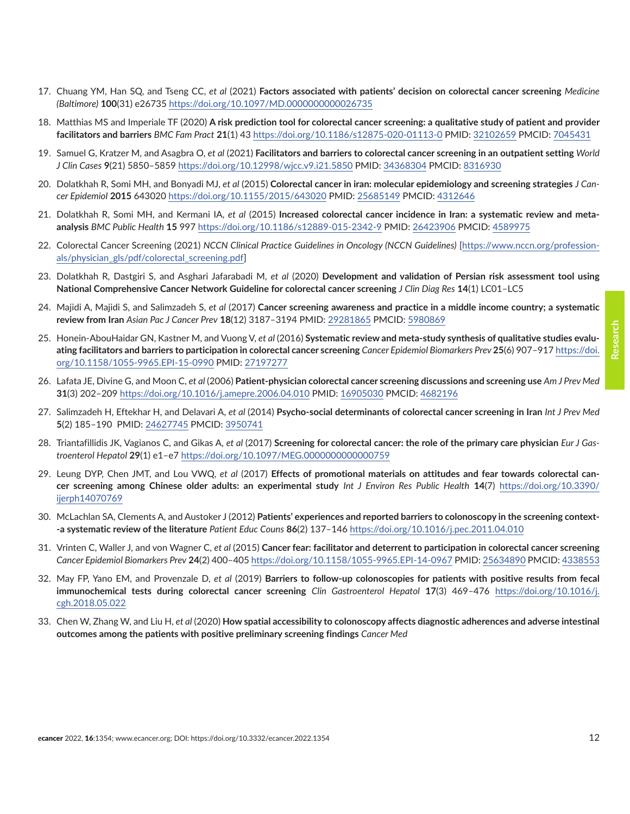- <span id="page-11-0"></span>17. Chuang YM, Han SQ, and Tseng CC, *et al* (2021) **Factors associated with patients' decision on colorectal cancer screening** *Medicine (Baltimore)* **100**(31) e26735<https://doi.org/10.1097/MD.0000000000026735>
- 18. Matthias MS and Imperiale TF (2020) **A risk prediction tool for colorectal cancer screening: a qualitative study of patient and provider facilitators and barriers** *BMC Fam Pract* **21**(1) 43<https://doi.org/10.1186/s12875-020-01113-0> PMID: [32102659](http://www.ncbi.nlm.nih.gov/pubmed/32102659) PMCID: [7045431](http://www.ncbi.nlm.nih.gov/pmc/articles/PMC7045431)
- 19. Samuel G, Kratzer M, and Asagbra O, *et al* (2021) **Facilitators and barriers to colorectal cancer screening in an outpatient setting** *World J Clin Cases* **9**(21) 5850–5859<https://doi.org/10.12998/wjcc.v9.i21.5850>PMID: [34368304](http://www.ncbi.nlm.nih.gov/pubmed/34368304) PMCID: [8316930](http://www.ncbi.nlm.nih.gov/pmc/articles/PMC8316930)
- 20. Dolatkhah R, Somi MH, and Bonyadi MJ, *et al* (2015) **Colorectal cancer in iran: molecular epidemiology and screening strategies** *J Cancer Epidemiol* **2015** 643020 <https://doi.org/10.1155/2015/643020> PMID: [25685149](http://www.ncbi.nlm.nih.gov/pubmed/25685149) PMCID: [4312646](http://www.ncbi.nlm.nih.gov/pmc/articles/PMC4312646)
- 21. Dolatkhah R, Somi MH, and Kermani IA, *et al* (2015) **Increased colorectal cancer incidence in Iran: a systematic review and metaanalysis** *BMC Public Health* **15** 997<https://doi.org/10.1186/s12889-015-2342-9> PMID: [26423906](http://www.ncbi.nlm.nih.gov/pubmed/26423906) PMCID: [4589975](http://www.ncbi.nlm.nih.gov/pmc/articles/PMC4589975)
- 22. Colorectal Cancer Screening (2021) *NCCN Clinical Practice Guidelines in Oncology (NCCN Guidelines)* [\[https://www.nccn.org/profession](https://www.nccn.org/professionals/physician_gls/pdf/colorectal_screening.pdf)[als/physician\\_gls/pdf/colorectal\\_screening.pdf\]](https://www.nccn.org/professionals/physician_gls/pdf/colorectal_screening.pdf)
- 23. Dolatkhah R, Dastgiri S, and Asghari Jafarabadi M, *et al* (2020) **Development and validation of Persian risk assessment tool using National Comprehensive Cancer Network Guideline for colorectal cancer screening** *J Clin Diag Res* **14**(1) LC01–LC5
- 24. Majidi A, Majidi S, and Salimzadeh S, *et al* (2017) **Cancer screening awareness and practice in a middle income country; a systematic review from Iran** *Asian Pac J Cancer Prev* **18**(12) 3187–3194 PMID: [29281865](http://www.ncbi.nlm.nih.gov/pubmed/29281865) PMCID: [5980869](http://www.ncbi.nlm.nih.gov/pmc/articles/PMC5980869)
- 25. Honein-AbouHaidar GN, Kastner M, and Vuong V, *et al* (2016) **Systematic review and meta-study synthesis of qualitative studies evaluating facilitators and barriers to participation in colorectal cancer screening** *Cancer Epidemiol Biomarkers Prev* **25**(6) 907–917 [https://doi.](https://doi.org/10.1158/1055-9965.EPI-15-0990) [org/10.1158/1055-9965.EPI-15-0990](https://doi.org/10.1158/1055-9965.EPI-15-0990) PMID: [27197277](http://www.ncbi.nlm.nih.gov/pubmed/27197277)
- 26. Lafata JE, Divine G, and Moon C, *et al* (2006) **Patient-physician colorectal cancer screening discussions and screening use** *Am J Prev Med* **31**(3) 202–209 <https://doi.org/10.1016/j.amepre.2006.04.010> PMID: [16905030](http://www.ncbi.nlm.nih.gov/pubmed/16905030) PMCID: [4682196](http://www.ncbi.nlm.nih.gov/pmc/articles/PMC4682196)
- 27. Salimzadeh H, Eftekhar H, and Delavari A, *et al* (2014) **Psycho-social determinants of colorectal cancer screening in Iran** *Int J Prev Med* **5**(2) 185–190 PMID: [24627745](http://www.ncbi.nlm.nih.gov/pubmed/24627745) PMCID: [3950741](http://www.ncbi.nlm.nih.gov/pmc/articles/PMC3950741)
- 28. Triantafillidis JK, Vagianos C, and Gikas A, *et al* (2017) **Screening for colorectal cancer: the role of the primary care physician** *Eur J Gastroenterol Hepatol* **29**(1) e1–e7<https://doi.org/10.1097/MEG.0000000000000759>
- 29. Leung DYP, Chen JMT, and Lou VWQ, *et al* (2017) **Effects of promotional materials on attitudes and fear towards colorectal cancer screening among Chinese older adults: an experimental study** *Int J Environ Res Public Health* **14**(7) [https://doi.org/10.3390/](https://doi.org/10.3390/ijerph14070769) [ijerph14070769](https://doi.org/10.3390/ijerph14070769)
- 30. McLachlan SA, Clements A, and Austoker J (2012) **Patients' experiences and reported barriers to colonoscopy in the screening context- -a systematic review of the literature** *Patient Educ Couns* **86**(2) 137–146<https://doi.org/10.1016/j.pec.2011.04.010>
- 31. Vrinten C, Waller J, and von Wagner C, *et al* (2015) **Cancer fear: facilitator and deterrent to participation in colorectal cancer screening** *Cancer Epidemiol Biomarkers Prev* **24**(2) 400–405<https://doi.org/10.1158/1055-9965.EPI-14-0967>PMID: [25634890](http://www.ncbi.nlm.nih.gov/pubmed/25634890) PMCID: [4338553](http://www.ncbi.nlm.nih.gov/pmc/articles/PMC4338553)
- 32. May FP, Yano EM, and Provenzale D, *et al* (2019) **Barriers to follow-up colonoscopies for patients with positive results from fecal immunochemical tests during colorectal cancer screening** *Clin Gastroenterol Hepatol* **17**(3) 469–476 [https://doi.org/10.1016/j.](https://doi.org/10.1016/j.cgh.2018.05.022) [cgh.2018.05.022](https://doi.org/10.1016/j.cgh.2018.05.022)
- 33. Chen W, Zhang W, and Liu H, *et al* (2020) **How spatial accessibility to colonoscopy affects diagnostic adherences and adverse intestinal outcomes among the patients with positive preliminary screening findings** *Cancer Med*